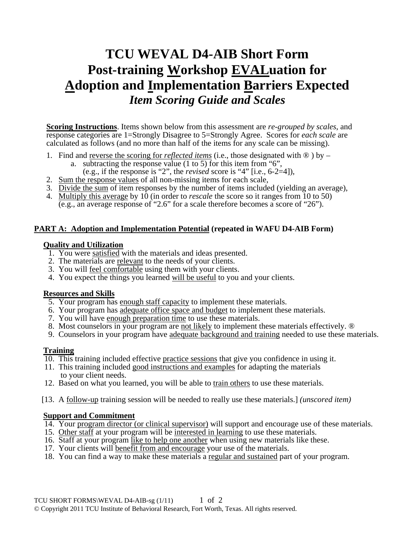# **TCU WEVAL D4-AIB Short Form Post-training Workshop EVALuation for Adoption and Implementation Barriers Expected**  *Item Scoring Guide and Scales*

**Scoring Instructions**. Items shown below from this assessment are *re-grouped by scales*, and response categories are 1=Strongly Disagree to 5=Strongly Agree. Scores for *each scale* are calculated as follows (and no more than half of the items for any scale can be missing).

- 1. Find and reverse the scoring for *reflected items* (i.e., those designated with ® ) by
	- a. subtracting the response value (1 to 5) for this item from "6",
	- (e.g., if the response is "2", the *revised* score is "4" [i.e., 6-2=4]),
- 2. Sum the response values of all non-missing items for each scale,
- 3. Divide the sum of item responses by the number of items included (yielding an average),
- 4. Multiply this average by 10 (in order to *rescale* the score so it ranges from 10 to 50) (e.g., an average response of "2.6" for a scale therefore becomes a score of "26").

## **PART A: Adoption and Implementation Potential (repeated in WAFU D4-AIB Form)**

#### **Quality and Utilization**

- 1. You were satisfied with the materials and ideas presented.
- 2. The materials are relevant to the needs of your clients.
- 3. You will feel comfortable using them with your clients.
- 4. You expect the things you learned will be useful to you and your clients.

## **Resources and Skills**

- 5. Your program has enough staff capacity to implement these materials.
- 6. Your program has adequate office space and budget to implement these materials.
- 7. You will have enough preparation time to use these materials.
- 8. Most counselors in your program are not likely to implement these materials effectively. ®
- 9. Counselors in your program have adequate background and training needed to use these materials.

## **Training**

- 10. This training included effective practice sessions that give you confidence in using it.
- 11. This training included good instructions and examples for adapting the materials to your client needs.
- 12. Based on what you learned, you will be able to train others to use these materials.
- [13. A follow-up training session will be needed to really use these materials.] *(unscored item)*

## **Support and Commitment**

- 14. Your program director (or clinical supervisor) will support and encourage use of these materials.
- 15. Other staff at your program will be interested in learning to use these materials.
- 16. Staff at your program like to help one another when using new materials like these.
- 17. Your clients will benefit from and encourage your use of the materials.
- 18. You can find a way to make these materials a regular and sustained part of your program.